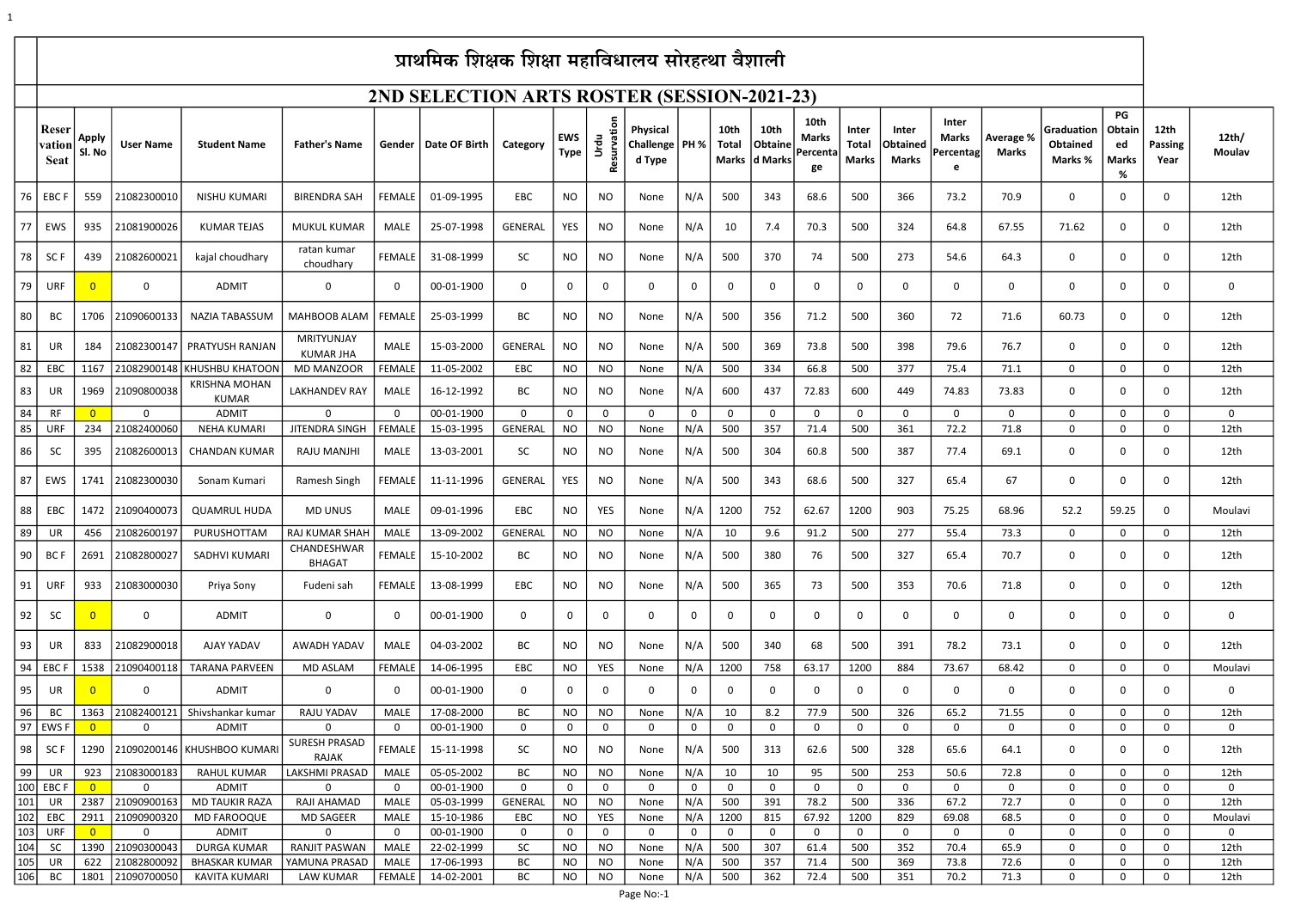1

|               | प्राथमिक शिक्षक शिक्षा महाविधालय सोरहत्था वैशाली |                        |                  |                                       |                                  |               |                          |                               |                           |                          |                                               |                    |                      |                                         |                                        |                                |                            |                                    |                                  |                                          |                                    |                                |                        |
|---------------|--------------------------------------------------|------------------------|------------------|---------------------------------------|----------------------------------|---------------|--------------------------|-------------------------------|---------------------------|--------------------------|-----------------------------------------------|--------------------|----------------------|-----------------------------------------|----------------------------------------|--------------------------------|----------------------------|------------------------------------|----------------------------------|------------------------------------------|------------------------------------|--------------------------------|------------------------|
|               | 2ND SELECTION ARTS ROSTER (SESSION-2021-23)      |                        |                  |                                       |                                  |               |                          |                               |                           |                          |                                               |                    |                      |                                         |                                        |                                |                            |                                    |                                  |                                          |                                    |                                |                        |
|               | Reser<br>vation<br><b>Seat</b>                   | <b>Apply</b><br>Sl. No | <b>User Name</b> | <b>Student Name</b>                   | <b>Father's Name</b>             | Gender        | Date OF Birth            | Category                      | <b>EWS</b><br><b>Type</b> | Urdu<br><b>Resurv</b>    | <b>Physical</b><br>Challenge   PH %<br>d Type |                    | 10th<br><b>Total</b> | <b>10th</b><br>Obtaine<br>Marks d Marks | 10th<br><b>Marks</b><br>Percenta<br>ge | Inter<br>Total<br><b>Marks</b> | Inter<br>Obtained<br>Marks | Inter<br>Marks<br><b>Percentag</b> | <b>Average %</b><br><b>Marks</b> | Graduation<br><b>Obtained</b><br>Marks % | PG<br>Obtain<br>ed<br><b>Marks</b> | 12th<br><b>Passing</b><br>Year | 12th/<br><b>Moulav</b> |
| 76            | <b>EBCF</b>                                      | 559                    | 21082300010      | <b>NISHU KUMARI</b>                   | <b>BIRENDRA SAH</b>              | <b>FEMALE</b> | 01-09-1995               | EBC                           | NO                        | <b>NO</b>                | None                                          | N/A                | 500                  | 343                                     | 68.6                                   | 500                            | 366                        | 73.2                               | 70.9                             | $\mathbf 0$                              | 0                                  | $\mathbf 0$                    | 12th                   |
| 77            | EWS                                              | 935                    | 21081900026      | <b>KUMAR TEJAS</b>                    | <b>MUKUL KUMAR</b>               | MALE          | 25-07-1998               | GENERAL                       | YES                       | <b>NO</b>                | None                                          | N/A                | 10                   | 7.4                                     | 70.3                                   | 500                            | 324                        | 64.8                               | 67.55                            | 71.62                                    | $\mathbf 0$                        | 0                              | 12th                   |
| 78            | SC F                                             | 439                    | 21082600021      | kajal choudhary                       | ratan kumar<br>choudhary         | <b>FEMALE</b> | 31-08-1999               | <b>SC</b>                     | NO.                       | NO.                      | None                                          | N/A                | 500                  | 370                                     | 74                                     | 500                            | 273                        | 54.6                               | 64.3                             | 0                                        | 0                                  | 0                              | 12th                   |
| 79            | <b>URF</b>                                       | $\overline{0}$         | $\mathbf{0}$     | ADMIT                                 | $\mathbf 0$                      | 0             | 00-01-1900               | $\mathbf 0$                   | $\mathbf{0}$              | 0                        | $\mathbf 0$                                   | $\mathbf 0$        | 0                    | $\mathbf{0}$                            | $\mathbf 0$                            | 0                              | $\mathbf 0$                | $\mathbf 0$                        | 0                                | $\mathbf{0}$                             | $\mathbf 0$                        | $\mathbf 0$                    | $\mathbf{0}$           |
| 80            | BC                                               |                        | 1706 21090600133 | <b>NAZIA TABASSUM</b>                 | MAHBOOB ALAM                     | <b>FEMALE</b> | 25-03-1999               | BC                            | <b>NO</b>                 | <b>NO</b>                | None                                          | N/A                | 500                  | 356                                     | 71.2                                   | 500                            | 360                        | 72                                 | 71.6                             | 60.73                                    | $\mathbf 0$                        | $\mathbf{0}$                   | 12th                   |
| 81            | UR                                               | 184                    | 21082300147      | <b>PRATYUSH RANJAN</b>                | MRITYUNJAY<br><b>KUMAR JHA</b>   | MALE          | 15-03-2000               | GENERAL                       | NO                        | <b>NO</b>                | None                                          | N/A                | 500                  | 369                                     | 73.8                                   | 500                            | 398                        | 79.6                               | 76.7                             | $\mathbf 0$                              | 0                                  | $\mathbf 0$                    | 12th                   |
| 82            | EBC                                              | 1167                   |                  | 21082900148 KHUSHBU KHATOON           | <b>MD MANZOOR</b>                | FEMALE        | 11-05-2002               | EBC                           | NO                        | <b>NO</b>                | None                                          | N/A                | 500                  | 334                                     | 66.8                                   | 500                            | 377                        | 75.4                               | 71.1                             | 0                                        | 0                                  | $\mathbf 0$                    | 12th                   |
| 83            | UR                                               |                        | 1969 21090800038 | <b>KRISHNA MOHAN</b><br>KUMAR         | <b>LAKHANDEV RAY</b>             | MALE          | 16-12-1992               | BC                            | <b>NO</b>                 | NO                       | None                                          | N/A                | 600                  | 437                                     | 72.83                                  | 600                            | 449                        | 74.83                              | 73.83                            | $\Omega$                                 | 0                                  | $\mathbf 0$                    | 12th                   |
| 84            | RF                                               | $\overline{0}$         | $\mathbf{0}$     | <b>ADMIT</b>                          | $\Omega$                         | $\mathbf 0$   | 00-01-1900               | 0                             | 0                         | 0                        | $\mathbf 0$                                   | 0                  | 0                    | $\mathbf{0}$                            | 0                                      | $\mathbf 0$                    | $\mathbf{0}$               | $\mathbf{0}$                       | $\mathbf{0}$                     | $\mathbf{0}$                             | $\mathbf 0$                        | $\mathbf 0$                    | $\mathbf 0$            |
| 85            | <b>URF</b>                                       | 234                    | 21082400060      | <b>NEHA KUMARI</b>                    | <b>JITENDRA SINGH</b>            | <b>FEMALE</b> | 15-03-1995               | <b>GENERAL</b>                | <b>NO</b>                 | <b>NO</b>                | None                                          | N/A                | 500                  | 357                                     | 71.4                                   | 500                            | 361                        | 72.2                               | 71.8                             | 0                                        | 0                                  | 0                              | 12th                   |
| 86            | <b>SC</b>                                        | 395                    | 21082600013      | <b>CHANDAN KUMAR</b>                  | RAJU MANJHI                      | MALE          | 13-03-2001               | <b>SC</b>                     | NO                        | NO                       | None                                          | N/A                | 500                  | 304                                     | 60.8                                   | 500                            | 387                        | 77.4                               | 69.1                             | 0                                        | $\mathbf 0$                        | $\mathbf 0$                    | 12th                   |
| 87            | EWS                                              |                        | 1741 21082300030 | Sonam Kumari                          | Ramesh Singh                     | <b>FEMALE</b> | 11-11-1996               | GENERAL                       | YES                       | NO                       | None                                          | N/A                | 500                  | 343                                     | 68.6                                   | 500                            | 327                        | 65.4                               | 67                               | $\mathbf{0}$                             | 0                                  | $\mathbf 0$                    | 12th                   |
| 88            | EBC                                              |                        | 1472 21090400073 | <b>QUAMRUL HUDA</b>                   | <b>MD UNUS</b>                   | MALE          | 09-01-1996               | EBC                           | NO                        | YES                      | None                                          | N/A                | 1200                 | 752                                     | 62.67                                  | 1200                           | 903                        | 75.25                              | 68.96                            | 52.2                                     | 59.25                              | $\mathbf 0$                    | Moulavi                |
| 89            | UR                                               | 456                    | 21082600197      | PURUSHOTTAM                           | <b>RAJ KUMAR SHAH</b>            | MALE          | 13-09-2002               | GENERAL                       | <b>NO</b>                 | <b>NO</b>                | None                                          | N/A                | 10                   | 9.6                                     | 91.2                                   | 500                            | 277                        | 55.4                               | 73.3                             | $\Omega$                                 | $\mathbf{0}$                       | 0                              | 12th                   |
| 90            | <b>BCF</b>                                       |                        | 2691 21082800027 | SADHVI KUMARI                         | CHANDESHWAR<br><b>BHAGAT</b>     | <b>FEMALE</b> | 15-10-2002               | BC                            | NO                        | NO                       | None                                          | N/A                | 500                  | 380                                     | 76                                     | 500                            | 327                        | 65.4                               | 70.7                             | 0                                        | 0                                  | $\mathbf 0$                    | 12th                   |
| 91            | <b>URF</b>                                       | 933                    | 21083000030      | Priya Sony                            | Fudeni sah                       | <b>FEMALE</b> | 13-08-1999               | EBC                           | NO.                       | NO.                      | None                                          | N/A                | 500                  | 365                                     | 73                                     | 500                            | 353                        | 70.6                               | 71.8                             | $\mathbf{0}$                             | $\mathbf 0$                        | 0                              | 12th                   |
| 92            | <b>SC</b>                                        | $\overline{0}$         | $\mathbf{0}$     | <b>ADMIT</b>                          | $\mathbf 0$                      | 0             | 00-01-1900               | $\mathbf 0$                   | $\mathbf{0}$              | 0                        | 0                                             | $\mathbf 0$        | 0                    | $\mathbf{0}$                            | 0                                      | $\mathbf 0$                    | $\mathbf 0$                | $\mathbf 0$                        | $\mathbf 0$                      | $\mathbf{0}$                             | 0                                  | $\mathbf 0$                    | $\mathbf{0}$           |
| 93            | UR                                               | 833                    | 21082900018      | AJAY YADAV                            | AWADH YADAV                      | MALE          | 04-03-2002               | BC                            | NO.                       | <b>NO</b>                | None                                          | N/A                | 500                  | 340                                     | 68                                     | 500                            | 391                        | 78.2                               | 73.1                             | $\Omega$                                 | 0                                  | $\mathbf 0$                    | 12th                   |
| 94            | EBC I                                            |                        | 1538 21090400118 | <b>TARANA PARVEEN</b>                 | MD ASLAM                         | <b>FEMALE</b> | 14-06-1995               | EBC                           | NO                        | <b>YES</b>               | None                                          | N/A                | 1200                 | 758                                     | 63.17                                  | 1200                           | 884                        | 73.67                              | 68.42                            | $\mathbf{0}$                             | 0                                  | $\mathbf 0$                    | Moulavi                |
| 95            | UR                                               | $\overline{0}$         | $\mathbf{0}$     | <b>ADMIT</b>                          | $\overline{0}$                   | 0             | 00-01-1900               | $\mathbf 0$                   | 0                         | 0                        | 0                                             | $\mathbf 0$        | 0                    | $\mathbf 0$                             | $\mathbf 0$                            | $\mathbf 0$                    | $\mathbf 0$                | $\mathbf 0$                        | $\mathbf 0$                      | $\mathbf{0}$                             | 0                                  | $\mathbf 0$                    | $\mathbf 0$            |
| 96            | BC                                               |                        | 1363 21082400121 | Shivshankar kumar                     | <b>RAJU YADAV</b>                | MALE          | 17-08-2000               | BC                            | <b>NO</b>                 | <b>NO</b>                | None                                          | N/A                | 10                   | 8.2                                     | 77.9                                   | 500                            | 326                        | 65.2                               | 71.55                            | $\Omega$                                 | $\mathbf 0$                        | 0                              | 12th                   |
| 97            | <b>EWSF</b>                                      | $\overline{0}$         | 0                | <b>ADMIT</b>                          | $\Omega$<br><b>SURESH PRASAD</b> | 0             | 00-01-1900               | $\mathsf{O}$                  | 0                         | $\mathbf 0$              | $\Omega$                                      | 0                  | 0                    | 0                                       | $\mathbf 0$                            | 0                              | $\mathbf 0$                | $\mathbf 0$                        | $\mathbf 0$                      | 0                                        | 0                                  | 0                              | $\mathbf 0$            |
| 98            | SC F                                             |                        |                  | 1290 21090200146 KHUSHBOO KUMARI      | <b>RAJAK</b>                     | <b>FEMALE</b> | 15-11-1998               | SC                            | <b>NO</b>                 | <b>NO</b>                | None                                          | N/A                | 500                  | 313                                     | 62.6                                   | 500                            | 328                        | 65.6                               | 64.1                             | $\mathbf{0}$                             | 0                                  | 0                              | 12th                   |
| 99            | UR                                               | 923                    | 21083000183      | RAHUL KUMAR                           | LAKSHMI PRASAD                   | MALE          | 05-05-2002               | BC                            | <b>NO</b>                 | <b>NO</b>                | None                                          | N/A                | 10                   | 10                                      | 95                                     | 500                            | 253                        | 50.6                               | 72.8                             | $\mathbf{0}$                             | $\mathbf 0$                        | $\mathbf 0$                    | 12th                   |
| 100<br> 101   | <b>EBCF</b><br>UR                                | $\overline{0}$<br>2387 | 0<br>21090900163 | <b>ADMIT</b><br><b>MD TAUKIR RAZA</b> | $\Omega$<br>RAJI AHAMAD          | 0<br>MALE     | 00-01-1900<br>05-03-1999 | $\mathbf 0$<br><b>GENERAL</b> | $\mathbf{0}$<br><b>NO</b> | $\mathbf 0$<br><b>NO</b> | $\Omega$<br>None                              | $\mathbf 0$<br>N/A | $\mathbf 0$<br>500   | $\mathbf{0}$<br>391                     | $\mathbf 0$<br>78.2                    | $\mathbf 0$<br>500             | $\mathbf{0}$<br>336        | $\mathbf{0}$<br>67.2               | $\mathbf{0}$<br>72.7             | $\mathbf{0}$<br>$\mathbf{0}$             | 0<br>$\mathbf 0$                   | 0<br>$\Omega$                  | $\mathbf 0$<br>12th    |
| 102           | EBC                                              | 2911                   | 21090900320      | <b>MD FAROOQUE</b>                    | <b>MD SAGEER</b>                 | MALE          | 15-10-1986               | EBC                           | <b>NO</b>                 | <b>YES</b>               | None                                          | N/A                | 1200                 | 815                                     | 67.92                                  | 1200                           | 829                        | 69.08                              | 68.5                             | $\mathbf{0}$                             | $\mathbf{0}$                       | 0                              | Moulavi                |
| 103           | <b>URF</b>                                       | $\overline{0}$         | $\mathbf{0}$     | <b>ADMIT</b>                          | $\mathbf 0$                      | $\mathbf 0$   | 00-01-1900               | $\mathbf 0$                   | $\mathbf{0}$              | $\mathbf 0$              | $\mathbf 0$                                   | $\mathbf 0$        | 0                    | $\mathbf 0$                             | $\mathbf 0$                            | $\mathbf{0}$                   | $\mathbf 0$                | $\mathbf 0$                        | $\mathbf{0}$                     | $\mathbf{0}$                             | $\mathbf{0}$                       | $\mathbf 0$                    | $\mathbf 0$            |
| 104           | <b>SC</b>                                        | 1390                   | 21090300043      | <b>DURGA KUMAR</b>                    | <b>RANJIT PASWAN</b>             | MALE          | 22-02-1999               | <b>SC</b>                     | <b>NO</b>                 | <b>NO</b>                | None                                          | N/A                | 500                  | 307                                     | 61.4                                   | 500                            | 352                        | 70.4                               | 65.9                             | $\mathbf{0}$                             | $\mathbf{0}$                       | $\mathbf 0$                    | 12th                   |
| $ 105\rangle$ | UR                                               | 622                    | 21082800092      | <b>BHASKAR KUMAR</b>                  | YAMUNA PRASAD                    | MALE          | 17-06-1993               | <b>BC</b>                     | <b>NO</b>                 | <b>NO</b>                | None                                          | N/A                | 500                  | 357                                     | 71.4                                   | 500                            | 369                        | 73.8                               | 72.6                             | 0                                        | $\mathbf{0}$                       | 0                              | 12th                   |
| 106           | BC                                               | 1801                   | 21090700050      | KAVITA KUMARI                         | LAW KUMAR                        | <b>FEMALE</b> | 14-02-2001               | ВC                            | <b>NO</b>                 | <b>NO</b>                | None                                          | N/A                | 500                  | 362                                     | 72.4                                   | 500                            | 351                        | 70.2                               | 71.3                             | 0                                        | 0                                  | 0                              | 12th                   |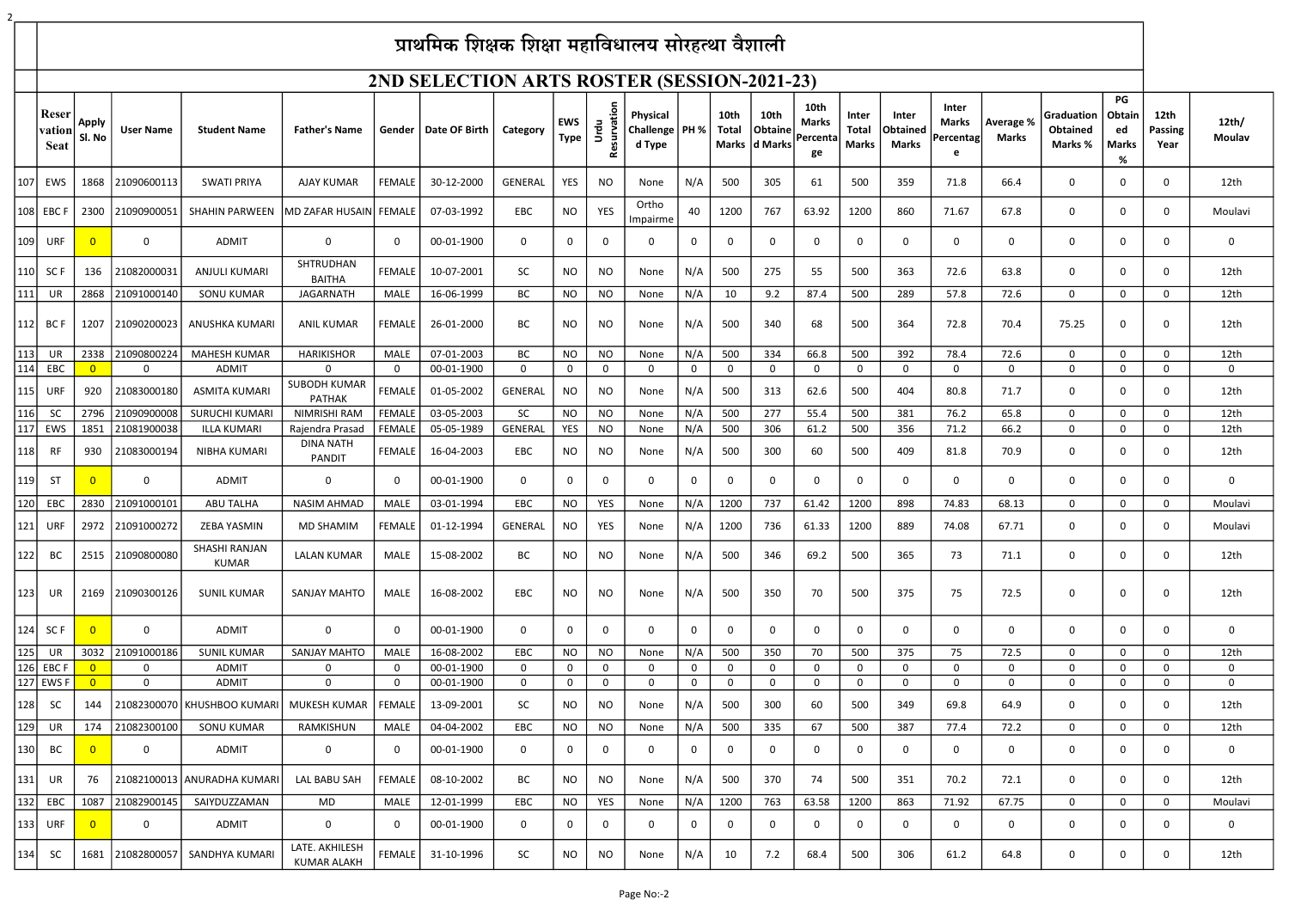## $y_{\text{max}}$  and  $y_{\text{max}}$  and  $y_{\text{max}}$  in the functional relation  $\theta$

|                   | प्राथमिक शिक्षक शिक्षा महाविधालय सोरहत्था वैशाली |                                  |                            |                                           |                                      |                            |                          |                |                            |                             |                                               |                            |                      |                                         |                                 |                                |                              |                                  |                                  |                                          |                                                |                                |                            |
|-------------------|--------------------------------------------------|----------------------------------|----------------------------|-------------------------------------------|--------------------------------------|----------------------------|--------------------------|----------------|----------------------------|-----------------------------|-----------------------------------------------|----------------------------|----------------------|-----------------------------------------|---------------------------------|--------------------------------|------------------------------|----------------------------------|----------------------------------|------------------------------------------|------------------------------------------------|--------------------------------|----------------------------|
|                   | 2ND SELECTION ARTS ROSTER (SESSION-2021-23)      |                                  |                            |                                           |                                      |                            |                          |                |                            |                             |                                               |                            |                      |                                         |                                 |                                |                              |                                  |                                  |                                          |                                                |                                |                            |
|                   | Reser<br>vation<br><b>Seat</b>                   | <b>Apply</b><br>Sl. No           | <b>User Name</b>           | <b>Student Name</b>                       | <b>Father's Name</b>                 |                            | Gender   Date OF Birth   | Category       | <b>EWS</b><br><b>Type</b>  | Resurvation<br>Urdu         | <b>Physical</b><br>Challenge   PH %<br>d Type |                            | 10th<br><b>Total</b> | <b>10th</b><br>Obtaine<br>Marks d Marks | 10th<br>Marks<br>Percenta<br>ge | Inter<br>Total<br><b>Marks</b> | Inter<br>Obtained<br>Marks   | Inter<br>Marks<br>Percentag<br>e | <b>Average %</b><br><b>Marks</b> | Graduation<br><b>Obtained</b><br>Marks % | PG<br><b>Obtain</b><br>ed<br><b>Marks</b><br>% | 12th<br><b>Passing</b><br>Year | 12th/<br><b>Moulav</b>     |
| 107               | EWS                                              | 1868                             | 21090600113                | <b>SWATI PRIYA</b>                        | AJAY KUMAR                           | <b>FEMALE</b>              | 30-12-2000               | <b>GENERAL</b> | <b>YES</b>                 | <b>NO</b>                   | None                                          | N/A                        | 500                  | 305                                     | 61                              | 500                            | 359                          | 71.8                             | 66.4                             | $\Omega$                                 | $\Omega$                                       | $\mathbf 0$                    | 12th                       |
| 108               | <b>EBCF</b>                                      | 2300                             | 21090900051                | SHAHIN PARWEEN   MD ZAFAR HUSAIN   FEMALE |                                      |                            | 07-03-1992               | EBC            | <b>NO</b>                  | <b>YES</b>                  | Ortho<br>Impairme                             | 40                         | 1200                 | 767                                     | 63.92                           | 1200                           | 860                          | 71.67                            | 67.8                             | 0                                        | 0                                              | $\mathbf 0$                    | Moulavi                    |
| 109               | URF                                              | $\overline{0}$                   | $\mathbf 0$                | <b>ADMIT</b>                              | $\Omega$                             | $\mathbf 0$                | 00-01-1900               | 0              | $\mathbf 0$                | 0                           | $\mathbf 0$                                   |                            | 0                    | $\mathbf{0}$                            | <sup>n</sup>                    | $\Omega$                       | $\mathbf 0$                  | $\mathbf{0}$                     | 0                                | $\Omega$                                 | $\Omega$                                       | $\mathbf 0$                    | 0                          |
| 110               | SC <sub>F</sub>                                  | 136                              | 21082000031                | ANJULI KUMARI                             | SHTRUDHAN<br><b>BAITHA</b>           | <b>FEMALE</b>              | 10-07-2001               | <b>SC</b>      | <b>NO</b>                  | <b>NO</b>                   | None                                          | N/A                        | 500                  | 275                                     | 55                              | 500                            | 363                          | 72.6                             | 63.8                             | $\Omega$                                 | $\Omega$                                       | $\mathbf 0$                    | 12th                       |
| 111               | UR                                               | 2868                             | 21091000140                | <b>SONU KUMAR</b>                         | <b>JAGARNATH</b>                     | MALE                       | 16-06-1999               | BC             | <b>NO</b>                  | <b>NO</b>                   | None                                          | N/A                        | 10                   | 9.2                                     | 87.4                            | 500                            | 289                          | 57.8                             | 72.6                             | $\mathbf{0}$                             | $\Omega$                                       | $\mathbf 0$                    | 12th                       |
| 112               | BC F                                             | 1207                             | 21090200023                | ANUSHKA KUMARI                            | ANIL KUMAR                           | FEMALE                     | 26-01-2000               | BC             | NO                         | NO                          | None                                          | N/A                        | 500                  | 340                                     | 68                              | 500                            | 364                          | 72.8                             | 70.4                             | 75.25                                    | 0                                              | $\mathbf 0$                    | 12th                       |
| 113               | UR                                               | 2338                             | 21090800224                | <b>MAHESH KUMAR</b>                       | <b>HARIKISHOR</b>                    | MALE                       | 07-01-2003               | BC             | <b>NO</b>                  | <b>NO</b>                   | None                                          | N/A                        | 500                  | 334                                     | 66.8                            | 500                            | 392                          | 78.4                             | 72.6                             | $\Omega$                                 | $\Omega$                                       | $\mathbf 0$                    | 12th                       |
| 114               | EBC                                              | $\overline{0}$                   | $\mathbf 0$                | <b>ADMIT</b>                              | $\Omega$                             | $\mathbf 0$                | 00-01-1900               | 0              | $\mathbf 0$                | $\mathbf 0$                 | $\mathbf 0$                                   | 0                          | $\mathbf 0$          | $\mathbf 0$                             | $\Omega$                        | $\mathbf 0$                    | $\mathbf{0}$                 | $\mathbf{0}$                     | $\mathbf 0$                      | $\mathbf{0}$                             | $\mathbf 0$                                    | $\mathbf 0$                    | 0                          |
| 115               | URF                                              | 920                              | 21083000180                | ASMITA KUMARI                             | <b>SUBODH KUMAR</b><br><b>PATHAK</b> | <b>FEMALE</b>              | 01-05-2002               | GENERAL        | <b>NO</b>                  | <b>NO</b>                   | None                                          | N/A                        | 500                  | 313                                     | 62.6                            | 500                            | 404                          | 80.8                             | 71.7                             | $\Omega$                                 | $\Omega$                                       | $\mathbf 0$                    | 12th                       |
| 116               | <b>SC</b>                                        | 2796                             | 21090900008                | SURUCHI KUMARI                            | NIMRISHI RAM                         | <b>FEMALE</b>              | 03-05-2003               | <b>SC</b>      | <b>NO</b>                  | <b>NO</b>                   | None                                          | N/A                        | 500                  | 277                                     | 55.4                            | 500                            | 381                          | 76.2                             | 65.8                             | $\Omega$                                 | $\Omega$                                       | $\Omega$                       | 12th                       |
| 117               | EWS                                              | 1851                             | 21081900038                | <b>ILLA KUMARI</b>                        | Rajendra Prasad<br><b>DINA NATH</b>  | <b>FEMALE</b>              | 05-05-1989               | <b>GENERAL</b> | <b>YES</b>                 | <b>NO</b>                   | None                                          | N/A                        | 500                  | 306                                     | 61.2                            | 500                            | 356                          | 71.2                             | 66.2                             | $\mathbf 0$                              | 0                                              | $\mathbf 0$                    | 12th                       |
| 118               | RF                                               | 930                              | 21083000194                | NIBHA KUMARI                              | PANDIT                               | <b>FEMALE</b>              | 16-04-2003               | <b>EBC</b>     | <b>NO</b>                  | <b>NO</b>                   | None                                          | N/A                        | 500                  | 300                                     | 60                              | 500                            | 409                          | 81.8                             | 70.9                             | 0                                        | $\Omega$                                       | 0                              | 12th                       |
| 119               | ST                                               | $\overline{0}$                   | $\mathbf 0$                | <b>ADMIT</b>                              | 0                                    | $\mathbf 0$                | 00-01-1900               | 0              | 0                          | $\mathbf 0$                 | 0                                             | 0                          | n                    | $\mathbf{0}$                            |                                 | $\mathbf 0$                    | $\Omega$                     | $\Omega$                         | $\Omega$                         | $\Omega$                                 | $\Omega$                                       | 0                              | $\mathbf{0}$               |
| 120               | EBC                                              | 2830                             | 21091000101                | <b>ABU TALHA</b>                          | <b>NASIM AHMAD</b>                   | <b>MALE</b>                | 03-01-1994               | EBC            | <b>NO</b>                  | YES                         | None                                          | N/A                        | 1200                 | 737                                     | 61.42                           | 1200                           | 898                          | 74.83                            | 68.13                            | $\Omega$                                 | $\Omega$                                       | $\mathbf 0$                    | Moulavi                    |
| 121               | URF                                              |                                  | 2972 21091000272           | ZEBA YASMIN                               | MD SHAMIM                            | FEMALE                     | 01-12-1994               | GENERAL        | <b>NO</b>                  | YES                         | None                                          | N/A                        | 1200                 | 736                                     | 61.33                           | 1200                           | 889                          | 74.08                            | 67.71                            | $\mathbf 0$                              | 0                                              | $\mathbf 0$                    | Moulavi                    |
| 122               | BC                                               |                                  | 2515 21090800080           | SHASHI RANJAN<br><b>KUMAR</b>             | <b>LALAN KUMAR</b>                   | MALE                       | 15-08-2002               | BC             | <b>NO</b>                  | <b>NO</b>                   | None                                          | N/A                        | 500                  | 346                                     | 69.2                            | 500                            | 365                          | 73                               | 71.1                             | $\mathbf 0$                              | $\Omega$                                       | $\mathbf 0$                    | 12th                       |
| 123               | UR                                               |                                  | 2169 21090300126           | <b>SUNIL KUMAR</b>                        | SANJAY MAHTO                         | MALE                       | 16-08-2002               | <b>EBC</b>     | <b>NO</b>                  | <b>NO</b>                   | None                                          | N/A                        | 500                  | 350                                     | 70                              | 500                            | 375                          | 75                               | 72.5                             | $\mathbf{0}$                             |                                                | $\mathbf 0$                    | 12th                       |
| 124               | SC F                                             | $\overline{0}$                   | $\mathbf 0$                | <b>ADMIT</b>                              | $\mathbf 0$                          | $\mathbf 0$                | 00-01-1900               | 0              | $\mathbf 0$                | $\mathbf{0}$                | $\mathbf 0$                                   | 0                          | 0                    | $\mathbf{0}$                            | $\Omega$                        | $\mathbf{0}$                   | $\mathbf{0}$                 | $\mathbf{0}$                     | $\mathbf{0}$                     | $\mathbf 0$                              | 0                                              | $\mathbf 0$                    | 0                          |
| 125               | UR                                               | 3032                             | 21091000186                | <b>SUNIL KUMAR</b>                        | <b>SANJAY MAHTO</b>                  | <b>MALE</b>                | 16-08-2002               | EBC            | <b>NO</b>                  | <b>NO</b>                   | None                                          | N/A                        | 500                  | 350                                     | 70                              | 500                            | 375                          | 75                               | 72.5                             | $\mathbf{0}$                             | $\mathbf{0}$                                   | $\mathbf 0$                    | 12th                       |
| <b>126</b><br>127 | <b>EBCF</b><br><b>EWSF</b>                       | $\overline{0}$<br>$\overline{0}$ | $\mathbf 0$<br>$\mathbf 0$ | <b>ADMIT</b><br><b>ADMIT</b>              | $\mathbf{0}$<br>$\mathbf 0$          | $\mathbf 0$<br>$\mathbf 0$ | 00-01-1900<br>00-01-1900 | 0<br>0         | $\mathbf 0$<br>$\mathbf 0$ | $\mathbf 0$<br>$\mathbf{0}$ | $\mathbf 0$<br>$\mathbf 0$                    | $\mathbf 0$<br>$\mathbf 0$ | 0<br>$\mathbf 0$     | $\mathbf{0}$<br>$\mathbf 0$             | $\Omega$<br>0                   | $\mathbf{0}$<br>$\mathbf 0$    | $\mathbf{0}$<br>$\mathbf{0}$ | 0<br>$\mathbf{0}$                | $\mathbf{0}$<br>$\mathbf{0}$     | $\Omega$<br>$\mathbf{0}$                 | $\mathbf{0}$<br>$\Omega$                       | $\Omega$<br>$\mathbf 0$        | $\mathbf 0$<br>$\mathbf 0$ |
| 128               | <b>SC</b>                                        | 144                              |                            | 21082300070   KHUSHBOO KUMARI             | MUKESH KUMAR                         | <b>I FEMALE</b>            | 13-09-2001               | <b>SC</b>      | <b>NO</b>                  | <b>NO</b>                   | None                                          | N/A                        | 500                  | 300                                     | 60                              | 500                            | 349                          | 69.8                             | 64.9                             | $\mathbf 0$                              | $\mathbf 0$                                    | $\mathbf 0$                    | 12th                       |
| 129               | UR                                               | 174                              | 21082300100                | <b>SONU KUMAR</b>                         | RAMKISHUN                            | <b>MALE</b>                | 04-04-2002               | EBC            | <b>NO</b>                  | <b>NO</b>                   | None                                          | N/A                        | 500                  | 335                                     | 67                              | 500                            | 387                          | 77.4                             | 72.2                             | $\mathbf{0}$                             | $\mathbf{0}$                                   | $\mathbf 0$                    | 12th                       |
| 130               | BC                                               | $\overline{0}$                   | $\overline{0}$             | <b>ADMIT</b>                              | $\mathbf 0$                          | $\overline{0}$             | 00-01-1900               | 0              | $\mathbf 0$                | $\mathbf{0}$                | 0                                             | 0                          | 0                    | $\mathbf{0}$                            | $\Omega$                        | $\mathbf 0$                    | $\mathbf{0}$                 | $\mathbf{0}$                     | $\mathbf 0$                      | $\mathbf{0}$                             | 0                                              | $\mathbf 0$                    | $\mathbf 0$                |
| 131               | UR                                               | 76                               |                            | 21082100013 ANURADHA KUMAR                | LAL BABU SAH                         | <b>FEMALE</b>              | 08-10-2002               | BC             | <b>NO</b>                  | <b>NO</b>                   | None                                          | N/A                        | 500                  | 370                                     | 74                              | 500                            | 351                          | 70.2                             | 72.1                             | $\mathbf{0}$                             | 0                                              | $\mathbf 0$                    | 12th                       |
| 132               | EBC                                              | 1087                             | 21082900145                | SAIYDUZZAMAN                              | <b>MD</b>                            | MALE                       | 12-01-1999               | EBC            | <b>NO</b>                  | YES                         | None                                          | N/A                        | 1200                 | 763                                     | 63.58                           | 1200                           | 863                          | 71.92                            | 67.75                            | $\Omega$                                 | $\mathbf{0}$                                   | $\mathbf 0$                    | Moulavi                    |
| 133               | URF                                              | $\overline{0}$                   | 0                          | <b>ADMIT</b>                              | $\mathbf 0$                          | $\mathbf{0}$               | 00-01-1900               | 0              | $\mathbf 0$                | $\mathbf 0$                 | $\mathbf 0$                                   | 0                          | 0                    | $\mathbf{0}$                            | 0                               | 0                              | $\mathbf{0}$                 | $\mathbf 0$                      | $\mathbf 0$                      | $\mathbf{0}$                             | 0                                              | $\mathbf 0$                    | $\mathbf 0$                |
| 134               | <b>SC</b>                                        | 1681                             | 21082800057                | SANDHYA KUMARI                            | LATE. AKHILESH<br><b>KUMAR ALAKH</b> | <b>FEMALE</b>              | 31-10-1996               | SC             | <b>NO</b>                  | <b>NO</b>                   | None                                          | N/A                        | 10                   | 7.2                                     | 68.4                            | 500                            | 306                          | 61.2                             | 64.8                             | $\mathbf 0$                              | $\mathbf 0$                                    | $\mathbf 0$                    | 12th                       |